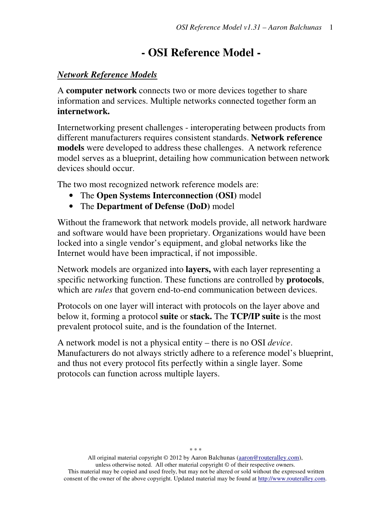# **- OSI Reference Model -**

#### *Network Reference Models*

A **computer network** connects two or more devices together to share information and services. Multiple networks connected together form an **internetwork.**

Internetworking present challenges - interoperating between products from different manufacturers requires consistent standards. **Network reference models** were developed to address these challenges. A network reference model serves as a blueprint, detailing how communication between network devices should occur.

The two most recognized network reference models are:

- The **Open Systems Interconnection (OSI)** model
- The **Department of Defense (DoD)** model

Without the framework that network models provide, all network hardware and software would have been proprietary. Organizations would have been locked into a single vendor's equipment, and global networks like the Internet would have been impractical, if not impossible.

Network models are organized into **layers,** with each layer representing a specific networking function. These functions are controlled by **protocols**, which are *rules* that govern end-to-end communication between devices.

Protocols on one layer will interact with protocols on the layer above and below it, forming a protocol **suite** or **stack.** The **TCP/IP suite** is the most prevalent protocol suite, and is the foundation of the Internet.

A network model is not a physical entity – there is no OSI *device*. Manufacturers do not always strictly adhere to a reference model's blueprint, and thus not every protocol fits perfectly within a single layer. Some protocols can function across multiple layers.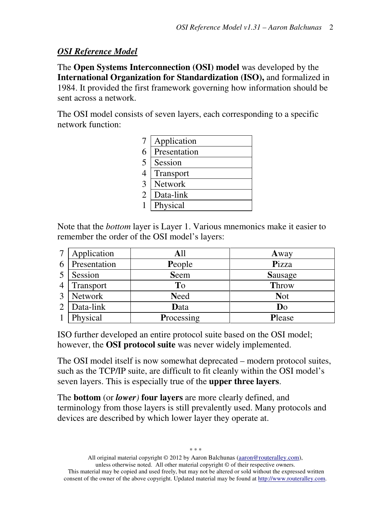#### *OSI Reference Model*

The **Open Systems Interconnection (OSI) model** was developed by the **International Organization for Standardization (ISO),** and formalized in 1984. It provided the first framework governing how information should be sent across a network.

The OSI model consists of seven layers, each corresponding to a specific network function:

| Application  |
|--------------|
| Presentation |
| Session      |
| Transport    |
| Network      |
| Data-link    |
| Physical     |
|              |

Note that the *bottom* layer is Layer 1. Various mnemonics make it easier to remember the order of the OSI model's layers:

| 7              | Application  | All         | Away       |
|----------------|--------------|-------------|------------|
| 6              | Presentation | People      | Pizza      |
|                | Session      | <b>Seem</b> | Sausage    |
| $\overline{4}$ | Transport    | To          | Throw      |
| 3              | Network      | <b>Need</b> | <b>Not</b> |
| 2              | Data-link    | Data        | Do         |
|                | Physical     | Processing  | Please     |

ISO further developed an entire protocol suite based on the OSI model; however, the **OSI protocol suite** was never widely implemented.

The OSI model itself is now somewhat deprecated – modern protocol suites, such as the TCP/IP suite, are difficult to fit cleanly within the OSI model's seven layers. This is especially true of the **upper three layers**.

The **bottom** (or *lower)* **four layers** are more clearly defined, and terminology from those layers is still prevalently used. Many protocols and devices are described by which lower layer they operate at.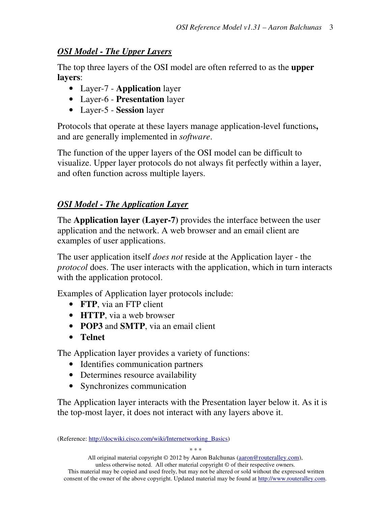## *OSI Model - The Upper Layers*

The top three layers of the OSI model are often referred to as the **upper layers**:

- Layer-7 **Application** layer
- Layer-6 **Presentation** layer
- Layer-5 **Session** layer

Protocols that operate at these layers manage application-level functions**,**  and are generally implemented in *software*.

The function of the upper layers of the OSI model can be difficult to visualize. Upper layer protocols do not always fit perfectly within a layer, and often function across multiple layers.

# *OSI Model - The Application Layer*

The **Application layer (Layer-7)** provides the interface between the user application and the network. A web browser and an email client are examples of user applications.

The user application itself *does not* reside at the Application layer - the *protocol* does. The user interacts with the application, which in turn interacts with the application protocol.

Examples of Application layer protocols include:

- **FTP**, via an FTP client
- **HTTP**, via a web browser
- **POP3** and **SMTP**, via an email client
- **Telnet**

The Application layer provides a variety of functions:

- Identifies communication partners
- Determines resource availability
- Synchronizes communication

The Application layer interacts with the Presentation layer below it. As it is the top-most layer, it does not interact with any layers above it.

<sup>(</sup>Reference: http://docwiki.cisco.com/wiki/Internetworking\_Basics)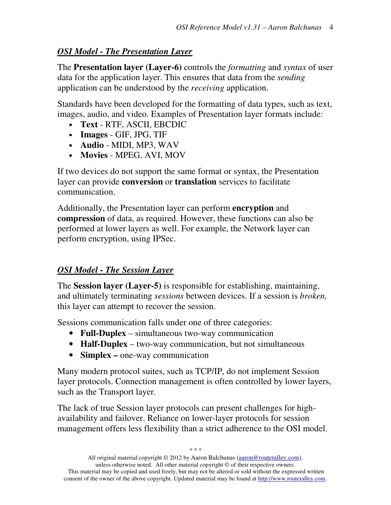## *OSI Model - The Presentation Layer*

The **Presentation layer (Layer-6)** controls the *formatting* and *syntax* of user data for the application layer. This ensures that data from the *sending*  application can be understood by the *receiving* application.

Standards have been developed for the formatting of data types, such as text, images, audio, and video. Examples of Presentation layer formats include:

- **Text** RTF, ASCII, EBCDIC
- **Images** GIF, JPG, TIF
- **Audio** MIDI, MP3, WAV
- **Movies** MPEG, AVI, MOV

If two devices do not support the same format or syntax, the Presentation layer can provide **conversion** or **translation** services to facilitate communication.

 Additionally, the Presentation layer can perform **encryption** and **compression** of data, as required. However, these functions can also be performed at lower layers as well. For example, the Network layer can perform encryption, using IPSec.

# *OSI Model - The Session Layer*

The **Session layer (Layer-5)** is responsible for establishing, maintaining, and ultimately terminating *sessions* between devices. If a session is *broken,*  this layer can attempt to recover the session.

Sessions communication falls under one of three categories:

- **Full-Duplex** simultaneous two-way communication
- **Half-Duplex** two-way communication, but not simultaneous
- **Simplex** one-way communication

Many modern protocol suites, such as TCP/IP, do not implement Session layer protocols. Connection management is often controlled by lower layers, such as the Transport layer.

The lack of true Session layer protocols can present challenges for highavailability and failover. Reliance on lower-layer protocols for session management offers less flexibility than a strict adherence to the OSI model.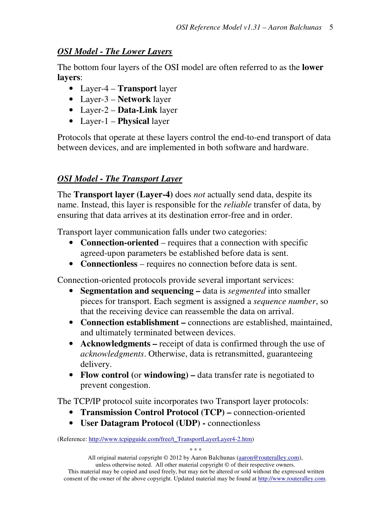#### *OSI Model - The Lower Layers*

The bottom four layers of the OSI model are often referred to as the **lower layers**:

- Layer-4 **Transport** layer
- Layer-3 **Network** layer
- Layer-2 **Data-Link** layer
- Layer-1 **Physical** layer

Protocols that operate at these layers control the end-to-end transport of data between devices, and are implemented in both software and hardware.

## *OSI Model - The Transport Layer*

The **Transport layer (Layer-4)** does *not* actually send data, despite its name. Instead, this layer is responsible for the *reliable* transfer of data, by ensuring that data arrives at its destination error-free and in order.

Transport layer communication falls under two categories:

- **Connection-oriented** requires that a connection with specific agreed-upon parameters be established before data is sent.
- **Connectionless**  requires no connection before data is sent.

Connection-oriented protocols provide several important services:

- **Segmentation and sequencing** data is *segmented* into smaller pieces for transport. Each segment is assigned a *sequence number*, so that the receiving device can reassemble the data on arrival.
- **Connection establishment** connections are established, maintained, and ultimately terminated between devices.
- **Acknowledgments** receipt of data is confirmed through the use of *acknowledgments*. Otherwise, data is retransmitted, guaranteeing delivery.
- **Flow control (**or **windowing)** data transfer rate is negotiated to prevent congestion.

The TCP/IP protocol suite incorporates two Transport layer protocols:

- **Transmission Control Protocol (TCP)** connection-oriented
- **User Datagram Protocol (UDP)** connectionless

(Reference: http://www.tcpipguide.com/free/t\_TransportLayerLayer4-2.htm)

All original material copyright © 2012 by Aaron Balchunas (aaron@routeralley.com), unless otherwise noted. All other material copyright  $\odot$  of their respective owners. This material may be copied and used freely, but may not be altered or sold without the expressed written consent of the owner of the above copyright. Updated material may be found at http://www.routeralley.com.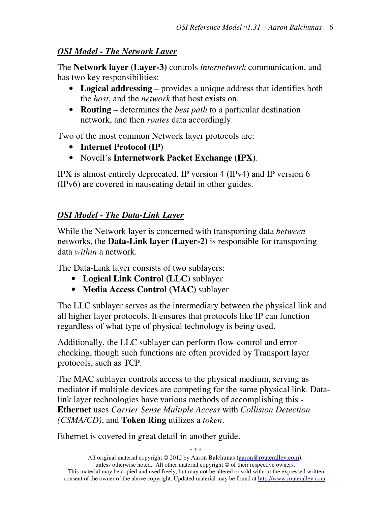#### *OSI Model - The Network Layer*

The **Network layer (Layer-3)** controls *internetwork* communication, and has two key responsibilities:

- **Logical addressing** provides a unique address that identifies both the *host*, and the *network* that host exists on.
- **Routing**  determines the *best path* to a particular destination network, and then *routes* data accordingly.

Two of the most common Network layer protocols are:

- **Internet Protocol (IP)**
- Novell's **Internetwork Packet Exchange (IPX)**.

IPX is almost entirely deprecated. IP version 4 (IPv4) and IP version 6 (IPv6) are covered in nauseating detail in other guides.

# *OSI Model - The Data-Link Layer*

While the Network layer is concerned with transporting data *between*  networks, the **Data-Link layer (Layer-2)** is responsible for transporting data *within* a network.

The Data-Link layer consists of two sublayers:

- **Logical Link Control (LLC)** sublayer
- **Media Access Control (MAC)** sublayer

The LLC sublayer serves as the intermediary between the physical link and all higher layer protocols. It ensures that protocols like IP can function regardless of what type of physical technology is being used.

Additionally, the LLC sublayer can perform flow-control and errorchecking, though such functions are often provided by Transport layer protocols, such as TCP.

The MAC sublayer controls access to the physical medium, serving as mediator if multiple devices are competing for the same physical link. Datalink layer technologies have various methods of accomplishing this - **Ethernet** uses *Carrier Sense Multiple Access* with *Collision Detection (CSMA/CD)*, and **Token Ring** utilizes a *token*.

Ethernet is covered in great detail in another guide.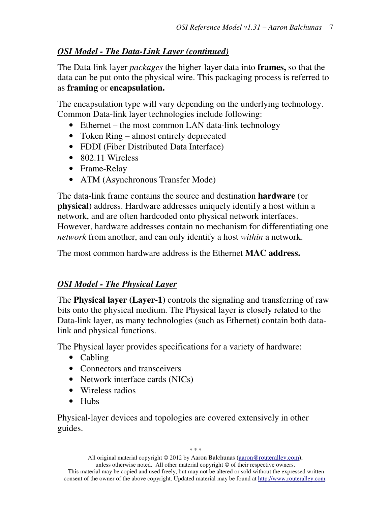## *OSI Model - The Data-Link Layer (continued)*

The Data-link layer *packages* the higher-layer data into **frames,** so that the data can be put onto the physical wire. This packaging process is referred to as **framing** or **encapsulation.** 

The encapsulation type will vary depending on the underlying technology. Common Data-link layer technologies include following:

- Ethernet the most common LAN data-link technology
- Token Ring almost entirely deprecated
- FDDI (Fiber Distributed Data Interface)
- 802.11 Wireless
- Frame-Relay
- ATM (Asynchronous Transfer Mode)

The data-link frame contains the source and destination **hardware** (or **physical**) address. Hardware addresses uniquely identify a host within a network, and are often hardcoded onto physical network interfaces. However, hardware addresses contain no mechanism for differentiating one *network* from another, and can only identify a host *within* a network.

The most common hardware address is the Ethernet **MAC address.**

# *OSI Model - The Physical Layer*

The **Physical layer (Layer-1)** controls the signaling and transferring of raw bits onto the physical medium. The Physical layer is closely related to the Data-link layer, as many technologies (such as Ethernet) contain both datalink and physical functions.

The Physical layer provides specifications for a variety of hardware:

- Cabling
- Connectors and transceivers
- Network interface cards (NICs)
- Wireless radios
- Hubs

Physical-layer devices and topologies are covered extensively in other guides.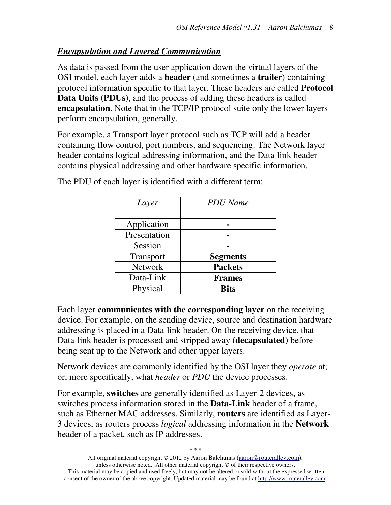#### *Encapsulation and Layered Communication*

As data is passed from the user application down the virtual layers of the OSI model, each layer adds a **header** (and sometimes a **trailer**) containing protocol information specific to that layer. These headers are called **Protocol Data Units (PDUs)**, and the process of adding these headers is called **encapsulation**. Note that in the TCP/IP protocol suite only the lower layers perform encapsulation, generally.

For example, a Transport layer protocol such as TCP will add a header containing flow control, port numbers, and sequencing. The Network layer header contains logical addressing information, and the Data-link header contains physical addressing and other hardware specific information.

| Layer          | <b>PDU</b> Name |
|----------------|-----------------|
|                |                 |
| Application    |                 |
| Presentation   |                 |
| Session        |                 |
| Transport      | <b>Segments</b> |
| <b>Network</b> | <b>Packets</b>  |
| Data-Link      | <b>Frames</b>   |
| Physical       | <b>Bits</b>     |

The PDU of each layer is identified with a different term:

Each layer **communicates with the corresponding layer** on the receiving device. For example, on the sending device, source and destination hardware addressing is placed in a Data-link header. On the receiving device, that Data-link header is processed and stripped away (**decapsulated)** before being sent up to the Network and other upper layers.

Network devices are commonly identified by the OSI layer they *operate* at; or, more specifically, what *header* or *PDU* the device processes.

For example, **switches** are generally identified as Layer-2 devices, as switches process information stored in the **Data-Link** header of a frame, such as Ethernet MAC addresses. Similarly, **routers** are identified as Layer-3 devices, as routers process *logical* addressing information in the **Network** header of a packet, such as IP addresses.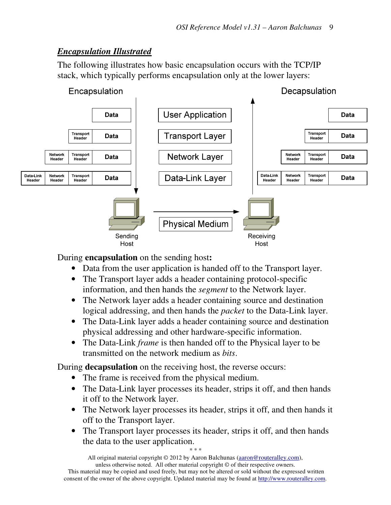# *Encapsulation Illustrated*

The following illustrates how basic encapsulation occurs with the TCP/IP stack, which typically performs encapsulation only at the lower layers:



During **encapsulation** on the sending host**:** 

- Data from the user application is handed off to the Transport layer.
- The Transport layer adds a header containing protocol-specific information, and then hands the *segment* to the Network layer.
- The Network layer adds a header containing source and destination logical addressing, and then hands the *packet* to the Data-Link layer.
- The Data-Link layer adds a header containing source and destination physical addressing and other hardware-specific information.
- The Data-Link *frame* is then handed off to the Physical layer to be transmitted on the network medium as *bits*.

During **decapsulation** on the receiving host, the reverse occurs:

- The frame is received from the physical medium.
- The Data-Link layer processes its header, strips it off, and then hands it off to the Network layer.
- The Network layer processes its header, strips it off, and then hands it off to the Transport layer.
- The Transport layer processes its header, strips it off, and then hands the data to the user application.

*\* \* \**  All original material copyright © 2012 by Aaron Balchunas (aaron@routeralley.com),

unless otherwise noted. All other material copyright © of their respective owners. This material may be copied and used freely, but may not be altered or sold without the expressed written consent of the owner of the above copyright. Updated material may be found at http://www.routeralley.com.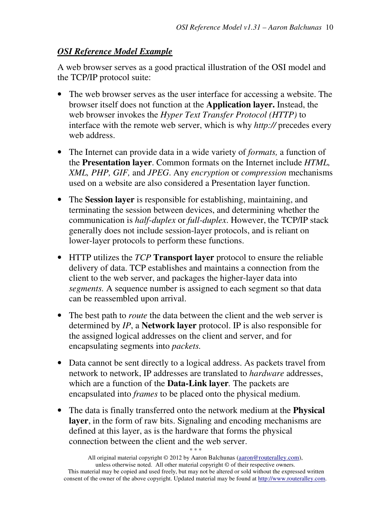#### *OSI Reference Model Example*

A web browser serves as a good practical illustration of the OSI model and the TCP/IP protocol suite:

- The web browser serves as the user interface for accessing a website. The browser itself does not function at the **Application layer.** Instead, the web browser invokes the *Hyper Text Transfer Protocol (HTTP)* to interface with the remote web server, which is why *http://* precedes every web address.
- The Internet can provide data in a wide variety of *formats,* a function of the **Presentation layer**. Common formats on the Internet include *HTML, XML, PHP, GIF,* and *JPEG*. Any *encryption* or *compression* mechanisms used on a website are also considered a Presentation layer function.
- The **Session layer** is responsible for establishing, maintaining, and terminating the session between devices, and determining whether the communication is *half-duplex* or *full-duplex*. However, the TCP/IP stack generally does not include session-layer protocols, and is reliant on lower-layer protocols to perform these functions.
- HTTP utilizes the *TCP* **Transport layer** protocol to ensure the reliable delivery of data. TCP establishes and maintains a connection from the client to the web server, and packages the higher-layer data into *segments.* A sequence number is assigned to each segment so that data can be reassembled upon arrival.
- The best path to *route* the data between the client and the web server is determined by *IP*, a **Network layer** protocol. IP is also responsible for the assigned logical addresses on the client and server, and for encapsulating segments into *packets.*
- Data cannot be sent directly to a logical address. As packets travel from network to network, IP addresses are translated to *hardware* addresses, which are a function of the **Data-Link layer***.* The packets are encapsulated into *frames* to be placed onto the physical medium.
- The data is finally transferred onto the network medium at the **Physical layer**, in the form of raw bits. Signaling and encoding mechanisms are defined at this layer, as is the hardware that forms the physical connection between the client and the web server.